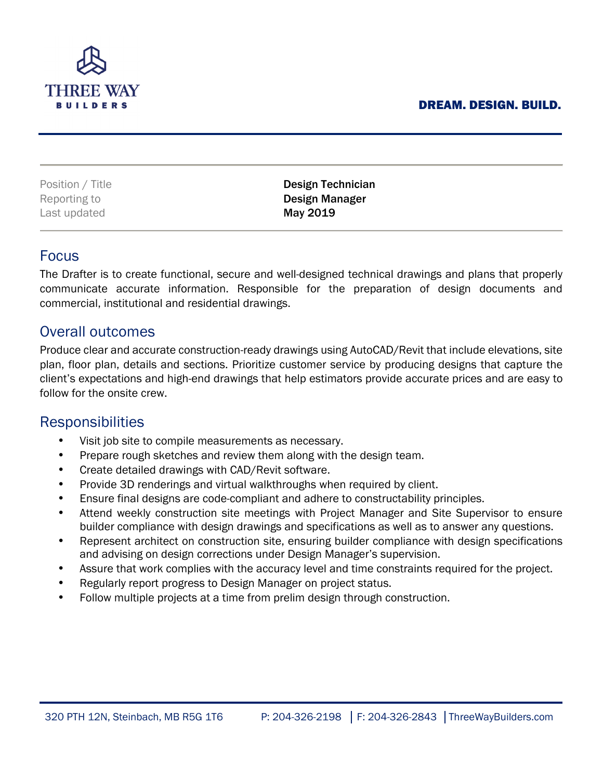## DREAM. DESIGN. BUILD.



| Position / Title | Design Technician |
|------------------|-------------------|
| Reporting to     | Design Manager    |
| Last updated     | May 2019          |

## Focus

The Drafter is to create functional, secure and well-designed technical drawings and plans that properly communicate accurate information. Responsible for the preparation of design documents and commercial, institutional and residential drawings.

## Overall outcomes

Produce clear and accurate construction-ready drawings using AutoCAD/Revit that include elevations, site plan, floor plan, details and sections. Prioritize customer service by producing designs that capture the client's expectations and high-end drawings that help estimators provide accurate prices and are easy to follow for the onsite crew.

# **Responsibilities**

- Visit job site to compile measurements as necessary.
- Prepare rough sketches and review them along with the design team.
- Create detailed drawings with CAD/Revit software.
- Provide 3D renderings and virtual walkthroughs when required by client.
- Ensure final designs are code-compliant and adhere to constructability principles.
- Attend weekly construction site meetings with Project Manager and Site Supervisor to ensure builder compliance with design drawings and specifications as well as to answer any questions.
- Represent architect on construction site, ensuring builder compliance with design specifications and advising on design corrections under Design Manager's supervision.
- Assure that work complies with the accuracy level and time constraints required for the project.
- Regularly report progress to Design Manager on project status.
- Follow multiple projects at a time from prelim design through construction.